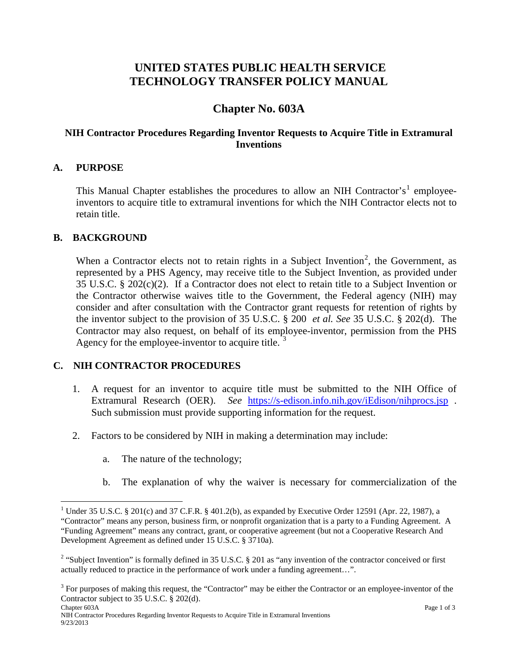# **UNITED STATES PUBLIC HEALTH SERVICE TECHNOLOGY TRANSFER POLICY MANUAL**

## **Chapter No. 603A**

#### **NIH Contractor Procedures Regarding Inventor Requests to Acquire Title in Extramural Inventions**

#### **A. PURPOSE**

This Manual Chapter establishes the procedures to allow an NIH Contractor's<sup>[1](#page-0-0)</sup> employeeinventors to acquire title to extramural inventions for which the NIH Contractor elects not to retain title.

#### **B. BACKGROUND**

When a Contractor elects not to retain rights in a Subject Invention<sup>[2](#page-0-1)</sup>, the Government, as represented by a PHS Agency, may receive title to the Subject Invention, as provided under 35 U.S.C. § 202(c)(2). If a Contractor does not elect to retain title to a Subject Invention or the Contractor otherwise waives title to the Government, the Federal agency (NIH) may consider and after consultation with the Contractor grant requests for retention of rights by the inventor subject to the provision of 35 U.S.C. § 200 *et al. See* 35 U.S.C. § 202(d). The Contractor may also request, on behalf of its employee-inventor, permission from the PHS Agency for the employee-inventor to acquire title.<sup>[3](#page-0-2)</sup>

#### **C. NIH CONTRACTOR PROCEDURES**

- 1. A request for an inventor to acquire title must be submitted to the NIH Office of Extramural Research (OER). *See* <https://s-edison.info.nih.gov/iEdison/nihprocs.jsp> . Such submission must provide supporting information for the request.
- 2. Factors to be considered by NIH in making a determination may include:
	- a. The nature of the technology;
	- b. The explanation of why the waiver is necessary for commercialization of the

<span id="page-0-0"></span><sup>&</sup>lt;sup>1</sup> Under 35 U.S.C. § 201(c) and 37 C.F.R. § 401.2(b), as expanded by Executive Order 12591 (Apr. 22, 1987), a "Contractor" means any person, business firm, or nonprofit organization that is a party to a Funding Agreement. A "Funding Agreement" means any contract, grant, or cooperative agreement (but not a Cooperative Research And Development Agreement as defined under 15 U.S.C. § 3710a).

<span id="page-0-1"></span><sup>&</sup>lt;sup>2</sup> "Subject Invention" is formally defined in 35 U.S.C. § 201 as "any invention of the contractor conceived or first actually reduced to practice in the performance of work under a funding agreement…".

<span id="page-0-2"></span><sup>&</sup>lt;sup>3</sup> For purposes of making this request, the "Contractor" may be either the Contractor or an employee-inventor of the Contractor subject to 35 U.S.C. § 202(d).<br>Chapter 603A

Chapter 603A Page 1 of 3 NIH Contractor Procedures Regarding Inventor Requests to Acquire Title in Extramural Inventions 9/23/2013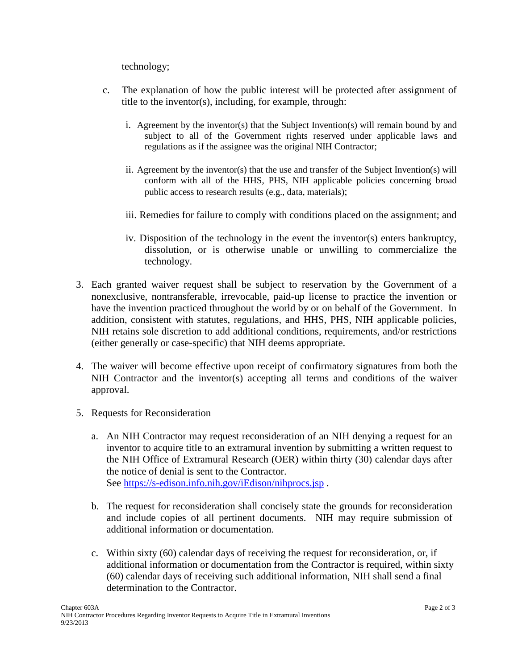technology;

- c. The explanation of how the public interest will be protected after assignment of title to the inventor(s), including, for example, through:
	- i. Agreement by the inventor(s) that the Subject Invention(s) will remain bound by and subject to all of the Government rights reserved under applicable laws and regulations as if the assignee was the original NIH Contractor;
	- ii. Agreement by the inventor(s) that the use and transfer of the Subject Invention(s) will conform with all of the HHS, PHS, NIH applicable policies concerning broad public access to research results (e.g., data, materials);
	- iii. Remedies for failure to comply with conditions placed on the assignment; and
	- iv. Disposition of the technology in the event the inventor(s) enters bankruptcy, dissolution, or is otherwise unable or unwilling to commercialize the technology.
- 3. Each granted waiver request shall be subject to reservation by the Government of a nonexclusive, nontransferable, irrevocable, paid-up license to practice the invention or have the invention practiced throughout the world by or on behalf of the Government. In addition, consistent with statutes, regulations, and HHS, PHS, NIH applicable policies, NIH retains sole discretion to add additional conditions, requirements, and/or restrictions (either generally or case-specific) that NIH deems appropriate.
- 4. The waiver will become effective upon receipt of confirmatory signatures from both the NIH Contractor and the inventor(s) accepting all terms and conditions of the waiver approval.
- 5. Requests for Reconsideration
	- a. An NIH Contractor may request reconsideration of an NIH denying a request for an inventor to acquire title to an extramural invention by submitting a written request to the NIH Office of Extramural Research (OER) within thirty (30) calendar days after the notice of denial is sent to the Contractor. See<https://s-edison.info.nih.gov/iEdison/nihprocs.jsp> .
	- b. The request for reconsideration shall concisely state the grounds for reconsideration and include copies of all pertinent documents. NIH may require submission of additional information or documentation.
	- c. Within sixty (60) calendar days of receiving the request for reconsideration, or, if additional information or documentation from the Contractor is required, within sixty (60) calendar days of receiving such additional information, NIH shall send a final determination to the Contractor.